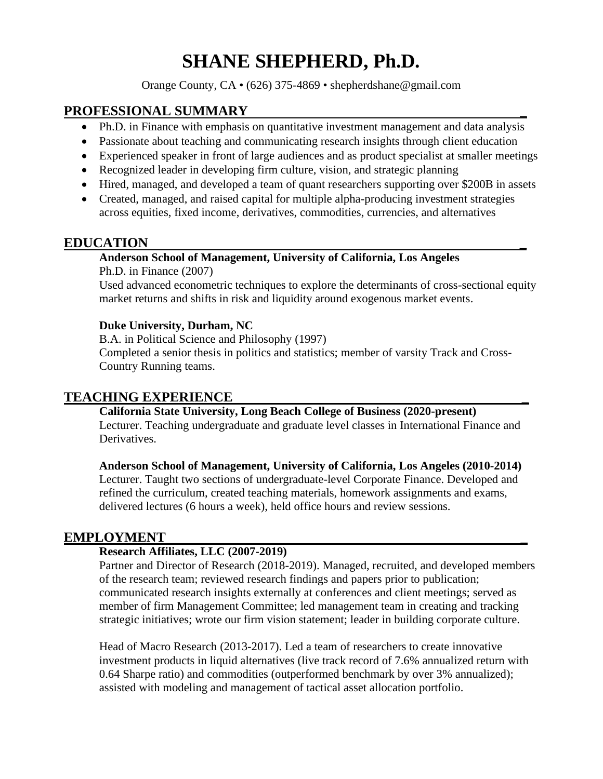# **SHANE SHEPHERD, Ph.D.**

Orange County, CA • (626) 375-4869 • shepherdshane@gmail.com

# **PROFESSIONAL SUMMARY \_**

- Ph.D. in Finance with emphasis on quantitative investment management and data analysis
- Passionate about teaching and communicating research insights through client education
- Experienced speaker in front of large audiences and as product specialist at smaller meetings
- Recognized leader in developing firm culture, vision, and strategic planning
- Hired, managed, and developed a team of quant researchers supporting over \$200B in assets
- Created, managed, and raised capital for multiple alpha-producing investment strategies across equities, fixed income, derivatives, commodities, currencies, and alternatives

## **EDUCATION \_**

#### **Anderson School of Management, University of California, Los Angeles**

Ph.D. in Finance (2007) Used advanced econometric techniques to explore the determinants of cross-sectional equity market returns and shifts in risk and liquidity around exogenous market events.

#### **Duke University, Durham, NC**

B.A. in Political Science and Philosophy (1997)

Completed a senior thesis in politics and statistics; member of varsity Track and Cross-Country Running teams.

# **TEACHING EXPERIENCE \_**

#### **California State University, Long Beach College of Business (2020-present)**

Lecturer. Teaching undergraduate and graduate level classes in International Finance and Derivatives.

**Anderson School of Management, University of California, Los Angeles (2010-2014)** Lecturer. Taught two sections of undergraduate-level Corporate Finance. Developed and refined the curriculum, created teaching materials, homework assignments and exams, delivered lectures (6 hours a week), held office hours and review sessions.

## **EMPLOYMENT \_**

#### **Research Affiliates, LLC (2007-2019)**

Partner and Director of Research (2018-2019). Managed, recruited, and developed members of the research team; reviewed research findings and papers prior to publication; communicated research insights externally at conferences and client meetings; served as member of firm Management Committee; led management team in creating and tracking strategic initiatives; wrote our firm vision statement; leader in building corporate culture.

Head of Macro Research (2013-2017). Led a team of researchers to create innovative investment products in liquid alternatives (live track record of 7.6% annualized return with 0.64 Sharpe ratio) and commodities (outperformed benchmark by over 3% annualized); assisted with modeling and management of tactical asset allocation portfolio.